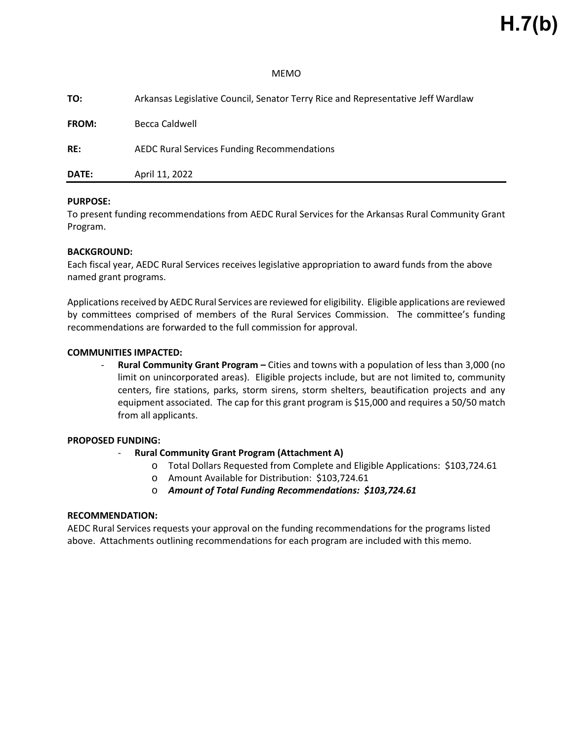#### MEMO

| <b>DATE:</b> | April 11, 2022                                                                   |
|--------------|----------------------------------------------------------------------------------|
| RE:          | AEDC Rural Services Funding Recommendations                                      |
| <b>FROM:</b> | Becca Caldwell                                                                   |
| TO:          | Arkansas Legislative Council, Senator Terry Rice and Representative Jeff Wardlaw |

#### **PURPOSE:**

To present funding recommendations from AEDC Rural Services for the Arkansas Rural Community Grant Program.

#### **BACKGROUND:**

Each fiscal year, AEDC Rural Services receives legislative appropriation to award funds from the above named grant programs.

Applications received by AEDC Rural Services are reviewed for eligibility. Eligible applications are reviewed by committees comprised of members of the Rural Services Commission. The committee's funding recommendations are forwarded to the full commission for approval.

### **COMMUNITIES IMPACTED:**

- **Rural Community Grant Program –** Cities and towns with a population of less than 3,000 (no limit on unincorporated areas). Eligible projects include, but are not limited to, community centers, fire stations, parks, storm sirens, storm shelters, beautification projects and any equipment associated. The cap for this grant program is \$15,000 and requires a 50/50 match from all applicants.

#### **PROPOSED FUNDING:**

- **Rural Community Grant Program (Attachment A)**
	- o Total Dollars Requested from Complete and Eligible Applications: \$103,724.61
	- o Amount Available for Distribution: \$103,724.61
	- o *Amount of Total Funding Recommendations: \$103,724.61*

#### **RECOMMENDATION:**

AEDC Rural Services requests your approval on the funding recommendations for the programs listed above. Attachments outlining recommendations for each program are included with this memo.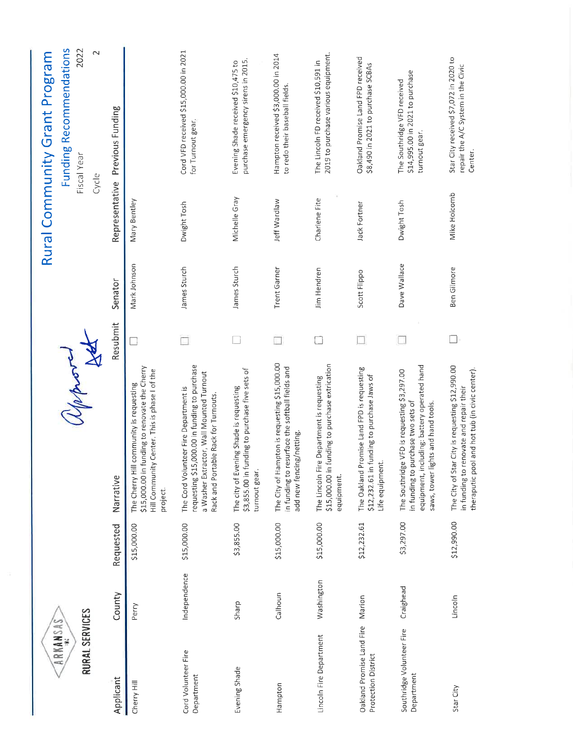| <b>RURAL SERVICES</b><br>œ<br><b>ARKANSA</b>     |              |             | Avon                                                                                                                                                                       |          |                     |                         | Funding Recommendations<br>2022<br>$\sim$<br>Rural Community Grant Program<br>Fiscal Year |
|--------------------------------------------------|--------------|-------------|----------------------------------------------------------------------------------------------------------------------------------------------------------------------------|----------|---------------------|-------------------------|-------------------------------------------------------------------------------------------|
| Applicant                                        | County       | Requested   | Narrative                                                                                                                                                                  | Resubmit | Senator             | Cycle<br>Representative | Previous Funding                                                                          |
| Cherry Hill                                      | Perry        | \$15,000.00 | \$15,000.00 in funding to renovate the Cherry<br>Center. This is phase I of the<br>community is requesting<br>Hill Community<br>The Cherry Hill<br>project.                |          | Mark Johnson        | Mary Bentley            |                                                                                           |
| Cord Volunteer Fire<br>Department                | Independence | \$15,000.00 | requesting \$15,000.00 in funding to purchase<br>a Washer Extractor, Wall Mounted Turnout<br>The Cord Volunteer Fire Department is<br>Rack and Portable Rack for Turnouts. |          | James Sturch        | Dwight Tosh             | Cord VFD received \$15,000.00 in 2021<br>for Turnout gear,                                |
| Evening Shade                                    | Sharp        | \$3,855.00  | \$3,855.00 in funding to purchase five sets of<br>The city of Evening Shade is requesting<br>turnout gear.                                                                 |          | James Sturch        | Michelle Gray           | purchase emergency sirens in 2015.<br>Evening Shade received \$10,475 to                  |
| Hampton                                          | Calhoun      | \$15,000.00 | The City of Hampton is requesting \$15,000.00<br>in funding to resurface the softball fields and<br>g/netting.<br>add new fencin                                           |          | <b>Trent Garner</b> | Jeff Wardlaw            | Hampton received \$3,000.00 in 2014<br>to redo their baseball fields.                     |
| Lincoln Fire Department                          | Washington   | \$15,000.00 | \$15,000.00 in funding to purchase extrication<br>The Lincoln Fire Department is requesting<br>equipment.                                                                  |          | Jim Hendren         | Charlene Fite           | 2019 to purchase various equipment.<br>The Lincoln FD received \$10,591 in                |
| Oakland Promise Land Fire<br>Protection District | Marion       | \$12,232.61 | The Oakland Promise Land FPD is requesting<br>\$12,232.61 in funding to purchase Jaws of<br>Life equipment                                                                 |          | Scott Flippo        | Jack Fortner            | Oakland Promise Land FPD received<br>\$8,490 in 2021 to purchase SCBAs                    |
| Southridge Volunteer Fire<br>Department          | Craighead    | \$3,297.00  | equipment, including: battery operated hand<br>The Southridge VFD is requesting \$3,297.00<br>in funding to purchase two sets of<br>saws, tower lights and hand tools.     |          | Dave Wallace        | Dwight Tosh             | \$14,995.00 in 2021 to purchase<br>The Southridge VFD received<br>turnout gear.           |
| Star City                                        | Lincoln      | \$12,990.00 | The City of Star City is requesting \$12,990.00<br>theraputic pool and hot tub (in civic center).<br>in funding to renovate and repair their                               |          | Ben Gilmore         | Mike Holcomb            | Star City received \$7,072 in 2020 to<br>repair the A/C System in the Civic<br>Center.    |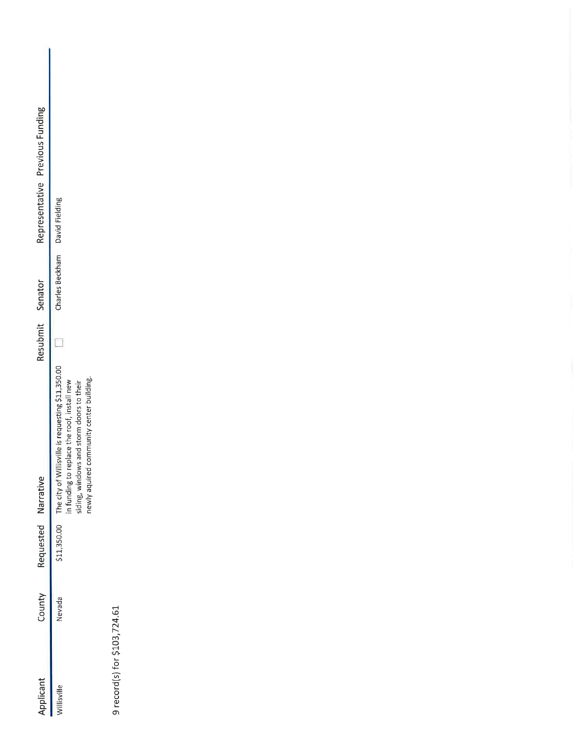| Applicant   | County | Requested Narrative |                                                                                                           | Resubmit Senator |                                | Representative Previous Funding |
|-------------|--------|---------------------|-----------------------------------------------------------------------------------------------------------|------------------|--------------------------------|---------------------------------|
| villisville | Nevada |                     | 11,350.00 The city of Willisville is requesting \$11,350.00<br>n funding to replace the roof, install new |                  | Charles Beckham David Fielding |                                 |
|             |        |                     | iding, windows and storm doors to their                                                                   |                  |                                |                                 |
|             |        |                     | newly aquired community center building.                                                                  |                  |                                |                                 |

9 record(s) for \$103,724.61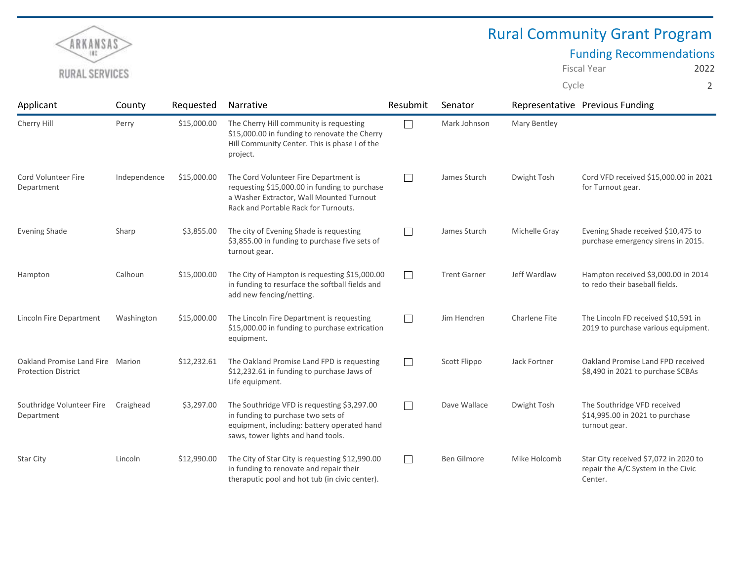

# Rural Community Grant Program

## Funding Recommendations

Fiscal Year 2022 Cycle 2

| Applicant                                                      | County       | Requested   | <b>Narrative</b>                                                                                                                                                           | Resubmit | Senator             |               | Representative Previous Funding                                                        |
|----------------------------------------------------------------|--------------|-------------|----------------------------------------------------------------------------------------------------------------------------------------------------------------------------|----------|---------------------|---------------|----------------------------------------------------------------------------------------|
| Cherry Hill                                                    | Perry        | \$15,000.00 | The Cherry Hill community is requesting<br>\$15,000.00 in funding to renovate the Cherry<br>Hill Community Center. This is phase I of the<br>project.                      | $\Box$   | Mark Johnson        | Mary Bentley  |                                                                                        |
| Cord Volunteer Fire<br>Department                              | Independence | \$15,000.00 | The Cord Volunteer Fire Department is<br>requesting \$15,000.00 in funding to purchase<br>a Washer Extractor, Wall Mounted Turnout<br>Rack and Portable Rack for Turnouts. | $\Box$   | James Sturch        | Dwight Tosh   | Cord VFD received \$15,000.00 in 2021<br>for Turnout gear.                             |
| <b>Evening Shade</b>                                           | Sharp        | \$3,855.00  | The city of Evening Shade is requesting<br>\$3,855.00 in funding to purchase five sets of<br>turnout gear.                                                                 | $\Box$   | James Sturch        | Michelle Gray | Evening Shade received \$10,475 to<br>purchase emergency sirens in 2015.               |
| Hampton                                                        | Calhoun      | \$15,000.00 | The City of Hampton is requesting \$15,000.00<br>in funding to resurface the softball fields and<br>add new fencing/netting.                                               | $\Box$   | <b>Trent Garner</b> | Jeff Wardlaw  | Hampton received \$3,000.00 in 2014<br>to redo their baseball fields.                  |
| Lincoln Fire Department                                        | Washington   | \$15,000.00 | The Lincoln Fire Department is requesting<br>\$15,000.00 in funding to purchase extrication<br>equipment.                                                                  | $\Box$   | Jim Hendren         | Charlene Fite | The Lincoln FD received \$10,591 in<br>2019 to purchase various equipment.             |
| Oakland Promise Land Fire Marion<br><b>Protection District</b> |              | \$12,232.61 | The Oakland Promise Land FPD is requesting<br>\$12,232.61 in funding to purchase Jaws of<br>Life equipment.                                                                | $\Box$   | Scott Flippo        | Jack Fortner  | Oakland Promise Land FPD received<br>\$8,490 in 2021 to purchase SCBAs                 |
| Southridge Volunteer Fire<br>Department                        | Craighead    | \$3,297.00  | The Southridge VFD is requesting \$3,297.00<br>in funding to purchase two sets of<br>equipment, including: battery operated hand<br>saws, tower lights and hand tools.     | $\Box$   | Dave Wallace        | Dwight Tosh   | The Southridge VFD received<br>\$14,995.00 in 2021 to purchase<br>turnout gear.        |
| Star City                                                      | Lincoln      | \$12,990.00 | The City of Star City is requesting \$12,990.00<br>in funding to renovate and repair their<br>theraputic pool and hot tub (in civic center).                               | $\Box$   | <b>Ben Gilmore</b>  | Mike Holcomb  | Star City received \$7,072 in 2020 to<br>repair the A/C System in the Civic<br>Center. |